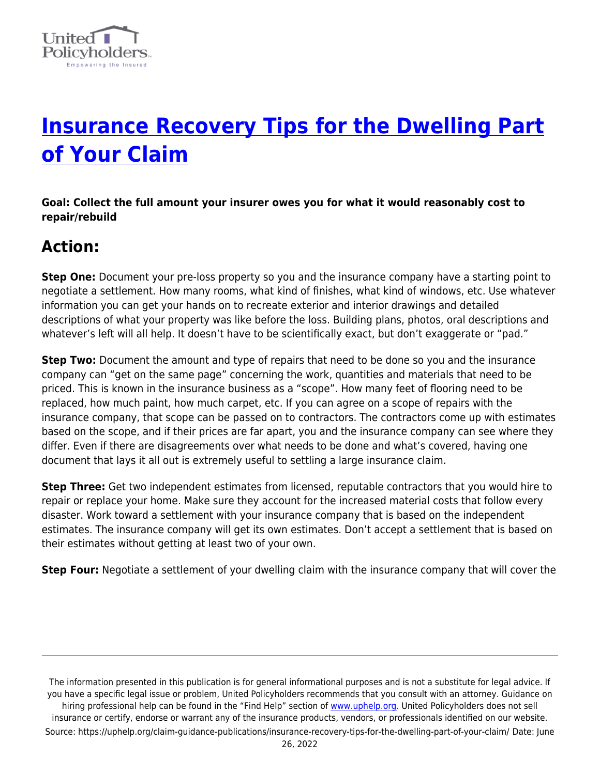

# **[Insurance Recovery Tips for the Dwelling Part](https://uphelp.org/claim-guidance-publications/insurance-recovery-tips-for-the-dwelling-part-of-your-claim/) [of Your Claim](https://uphelp.org/claim-guidance-publications/insurance-recovery-tips-for-the-dwelling-part-of-your-claim/)**

**Goal: Collect the full amount your insurer owes you for what it would reasonably cost to repair/rebuild**

## **Action:**

**Step One:** Document your pre-loss property so you and the insurance company have a starting point to negotiate a settlement. How many rooms, what kind of finishes, what kind of windows, etc. Use whatever information you can get your hands on to recreate exterior and interior drawings and detailed descriptions of what your property was like before the loss. Building plans, photos, oral descriptions and whatever's left will all help. It doesn't have to be scientifically exact, but don't exaggerate or "pad."

**Step Two:** Document the amount and type of repairs that need to be done so you and the insurance company can "get on the same page" concerning the work, quantities and materials that need to be priced. This is known in the insurance business as a "scope". How many feet of flooring need to be replaced, how much paint, how much carpet, etc. If you can agree on a scope of repairs with the insurance company, that scope can be passed on to contractors. The contractors come up with estimates based on the scope, and if their prices are far apart, you and the insurance company can see where they differ. Even if there are disagreements over what needs to be done and what's covered, having one document that lays it all out is extremely useful to settling a large insurance claim.

**Step Three:** Get two independent estimates from licensed, reputable contractors that you would hire to repair or replace your home. Make sure they account for the increased material costs that follow every disaster. Work toward a settlement with your insurance company that is based on the independent estimates. The insurance company will get its own estimates. Don't accept a settlement that is based on their estimates without getting at least two of your own.

**Step Four:** Negotiate a settlement of your dwelling claim with the insurance company that will cover the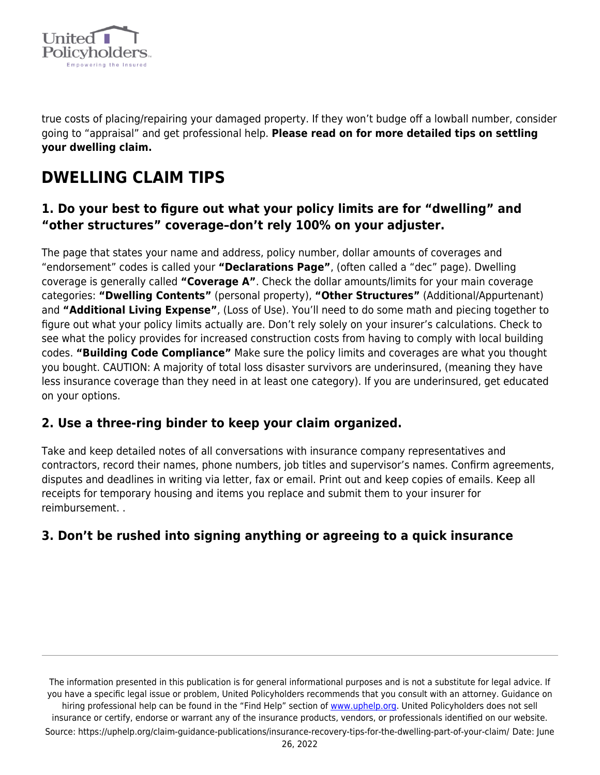

true costs of placing/repairing your damaged property. If they won't budge off a lowball number, consider going to "appraisal" and get professional help. **Please read on for more detailed tips on settling your dwelling claim.**

## **DWELLING CLAIM TIPS**

#### **1. Do your best to figure out what your policy limits are for "dwelling" and "other structures" coverage–don't rely 100% on your adjuster.**

The page that states your name and address, policy number, dollar amounts of coverages and "endorsement" codes is called your **"Declarations Page"**, (often called a "dec" page). Dwelling coverage is generally called **"Coverage A"**. Check the dollar amounts/limits for your main coverage categories: **"Dwelling Contents"** (personal property), **"Other Structures"** (Additional/Appurtenant) and **"Additional Living Expense"**, (Loss of Use). You'll need to do some math and piecing together to figure out what your policy limits actually are. Don't rely solely on your insurer's calculations. Check to see what the policy provides for increased construction costs from having to comply with local building codes. **"Building Code Compliance"** Make sure the policy limits and coverages are what you thought you bought. CAUTION: A majority of total loss disaster survivors are underinsured, (meaning they have less insurance coverage than they need in at least one category). If you are underinsured, get educated on your options.

#### **2. Use a three-ring binder to keep your claim organized.**

Take and keep detailed notes of all conversations with insurance company representatives and contractors, record their names, phone numbers, job titles and supervisor's names. Confirm agreements, disputes and deadlines in writing via letter, fax or email. Print out and keep copies of emails. Keep all receipts for temporary housing and items you replace and submit them to your insurer for reimbursement. .

#### **3. Don't be rushed into signing anything or agreeing to a quick insurance**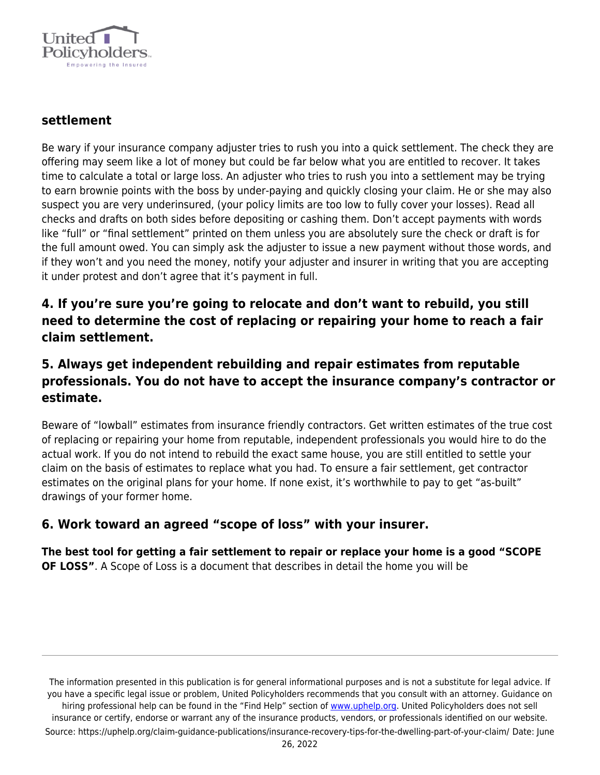

#### **settlement**

Be wary if your insurance company adjuster tries to rush you into a quick settlement. The check they are offering may seem like a lot of money but could be far below what you are entitled to recover. It takes time to calculate a total or large loss. An adjuster who tries to rush you into a settlement may be trying to earn brownie points with the boss by under-paying and quickly closing your claim. He or she may also suspect you are very underinsured, (your policy limits are too low to fully cover your losses). Read all checks and drafts on both sides before depositing or cashing them. Don't accept payments with words like "full" or "final settlement" printed on them unless you are absolutely sure the check or draft is for the full amount owed. You can simply ask the adjuster to issue a new payment without those words, and if they won't and you need the money, notify your adjuster and insurer in writing that you are accepting it under protest and don't agree that it's payment in full.

#### **4. If you're sure you're going to relocate and don't want to rebuild, you still need to determine the cost of replacing or repairing your home to reach a fair claim settlement.**

#### **5. Always get independent rebuilding and repair estimates from reputable professionals. You do not have to accept the insurance company's contractor or estimate.**

Beware of "lowball" estimates from insurance friendly contractors. Get written estimates of the true cost of replacing or repairing your home from reputable, independent professionals you would hire to do the actual work. If you do not intend to rebuild the exact same house, you are still entitled to settle your claim on the basis of estimates to replace what you had. To ensure a fair settlement, get contractor estimates on the original plans for your home. If none exist, it's worthwhile to pay to get "as-built" drawings of your former home.

#### **6. Work toward an agreed "scope of loss" with your insurer.**

**The best tool for getting a fair settlement to repair or replace your home is a good "SCOPE OF LOSS"**. A Scope of Loss is a document that describes in detail the home you will be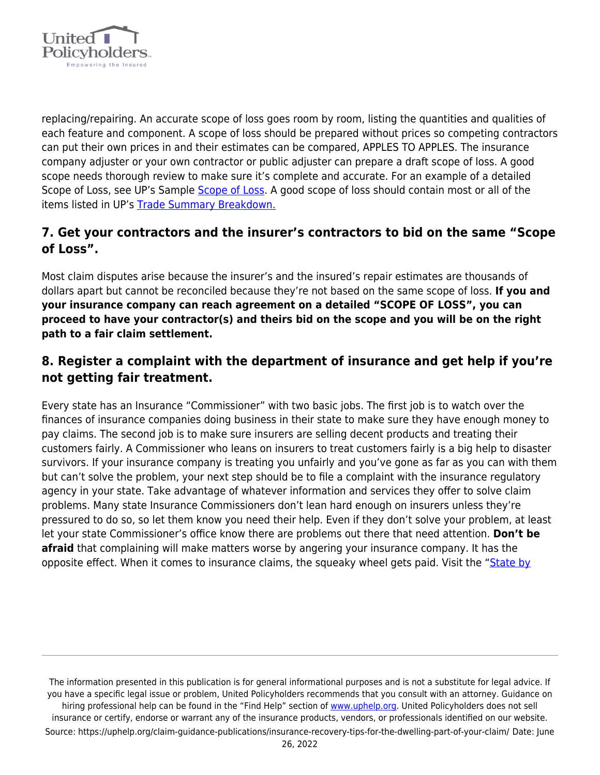

replacing/repairing. An accurate scope of loss goes room by room, listing the quantities and qualities of each feature and component. A scope of loss should be prepared without prices so competing contractors can put their own prices in and their estimates can be compared, APPLES TO APPLES. The insurance company adjuster or your own contractor or public adjuster can prepare a draft scope of loss. A good scope needs thorough review to make sure it's complete and accurate. For an example of a detailed Scope of Loss, see UP's Sample [Scope of Loss.](https://uphelp.org/wp-content/uploads/2020/09/Dwelling_Scope-1.pdf) A good scope of loss should contain most or all of the items listed in UP's [Trade Summary Breakdown.](https://uphelp.org/wp-content/uploads/2020/09/tradesummary.pdf)

#### **7. Get your contractors and the insurer's contractors to bid on the same "Scope of Loss".**

Most claim disputes arise because the insurer's and the insured's repair estimates are thousands of dollars apart but cannot be reconciled because they're not based on the same scope of loss. **If you and your insurance company can reach agreement on a detailed "SCOPE OF LOSS", you can proceed to have your contractor(s) and theirs bid on the scope and you will be on the right path to a fair claim settlement.**

#### **8. Register a complaint with the department of insurance and get help if you're not getting fair treatment.**

Every state has an Insurance "Commissioner" with two basic jobs. The first job is to watch over the finances of insurance companies doing business in their state to make sure they have enough money to pay claims. The second job is to make sure insurers are selling decent products and treating their customers fairly. A Commissioner who leans on insurers to treat customers fairly is a big help to disaster survivors. If your insurance company is treating you unfairly and you've gone as far as you can with them but can't solve the problem, your next step should be to file a complaint with the insurance regulatory agency in your state. Take advantage of whatever information and services they offer to solve claim problems. Many state Insurance Commissioners don't lean hard enough on insurers unless they're pressured to do so, so let them know you need their help. Even if they don't solve your problem, at least let your state Commissioner's office know there are problems out there that need attention. **Don't be afraid** that complaining will make matters worse by angering your insurance company. It has the opposite effect. When it comes to insurance claims, the squeaky wheel gets paid. Visit the ["State by](https://www.uphelp.org/library/statebystate)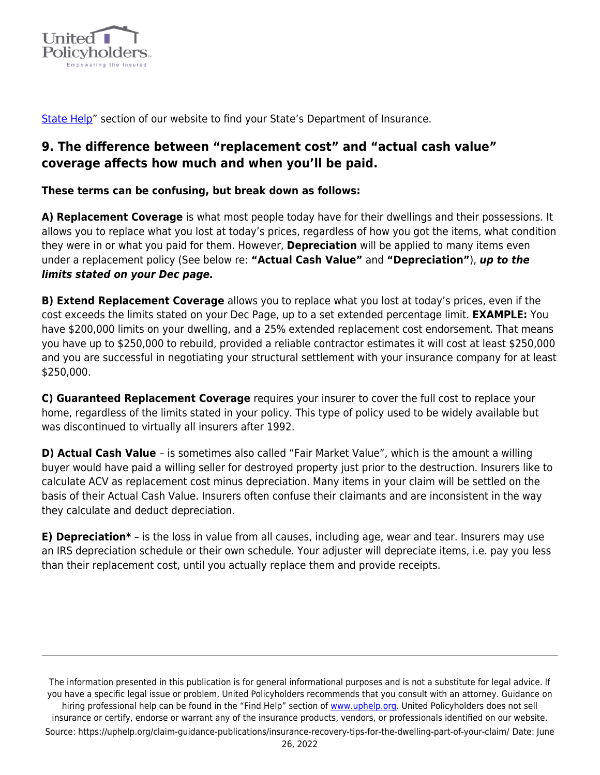

[State Help](https://www.uphelp.org/library/statebystate)" section of our website to find your State's Department of Insurance.

#### **9. The difference between "replacement cost" and "actual cash value" coverage affects how much and when you'll be paid.**

**These terms can be confusing, but break down as follows:**

**A) Replacement Coverage** is what most people today have for their dwellings and their possessions. It allows you to replace what you lost at today's prices, regardless of how you got the items, what condition they were in or what you paid for them. However, **Depreciation** will be applied to many items even under a replacement policy (See below re: **"Actual Cash Value"** and **"Depreciation"**), *up to the limits stated on your Dec page.*

**B) Extend Replacement Coverage** allows you to replace what you lost at today's prices, even if the cost exceeds the limits stated on your Dec Page, up to a set extended percentage limit. **EXAMPLE:** You have \$200,000 limits on your dwelling, and a 25% extended replacement cost endorsement. That means you have up to \$250,000 to rebuild, provided a reliable contractor estimates it will cost at least \$250,000 and you are successful in negotiating your structural settlement with your insurance company for at least \$250,000.

**C) Guaranteed Replacement Coverage** requires your insurer to cover the full cost to replace your home, regardless of the limits stated in your policy. This type of policy used to be widely available but was discontinued to virtually all insurers after 1992.

**D) Actual Cash Value** – is sometimes also called "Fair Market Value", which is the amount a willing buyer would have paid a willing seller for destroyed property just prior to the destruction. Insurers like to calculate ACV as replacement cost minus depreciation. Many items in your claim will be settled on the basis of their Actual Cash Value. Insurers often confuse their claimants and are inconsistent in the way they calculate and deduct depreciation.

**E) Depreciation\*** – is the loss in value from all causes, including age, wear and tear. Insurers may use an IRS depreciation schedule or their own schedule. Your adjuster will depreciate items, i.e. pay you less than their replacement cost, until you actually replace them and provide receipts.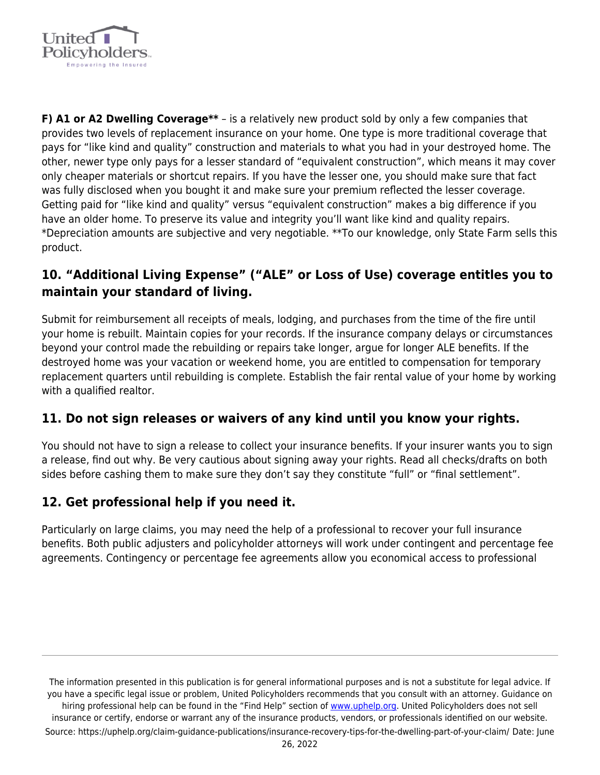

**F) A1 or A2 Dwelling Coverage\*\*** – is a relatively new product sold by only a few companies that provides two levels of replacement insurance on your home. One type is more traditional coverage that pays for "like kind and quality" construction and materials to what you had in your destroyed home. The other, newer type only pays for a lesser standard of "equivalent construction", which means it may cover only cheaper materials or shortcut repairs. If you have the lesser one, you should make sure that fact was fully disclosed when you bought it and make sure your premium reflected the lesser coverage. Getting paid for "like kind and quality" versus "equivalent construction" makes a big difference if you have an older home. To preserve its value and integrity you'll want like kind and quality repairs. \*Depreciation amounts are subjective and very negotiable. \*\*To our knowledge, only State Farm sells this product.

#### **10. "Additional Living Expense" ("ALE" or Loss of Use) coverage entitles you to maintain your standard of living.**

Submit for reimbursement all receipts of meals, lodging, and purchases from the time of the fire until your home is rebuilt. Maintain copies for your records. If the insurance company delays or circumstances beyond your control made the rebuilding or repairs take longer, argue for longer ALE benefits. If the destroyed home was your vacation or weekend home, you are entitled to compensation for temporary replacement quarters until rebuilding is complete. Establish the fair rental value of your home by working with a qualified realtor.

#### **11. Do not sign releases or waivers of any kind until you know your rights.**

You should not have to sign a release to collect your insurance benefits. If your insurer wants you to sign a release, find out why. Be very cautious about signing away your rights. Read all checks/drafts on both sides before cashing them to make sure they don't say they constitute "full" or "final settlement".

### **12. Get professional help if you need it.**

Particularly on large claims, you may need the help of a professional to recover your full insurance benefits. Both public adjusters and policyholder attorneys will work under contingent and percentage fee agreements. Contingency or percentage fee agreements allow you economical access to professional